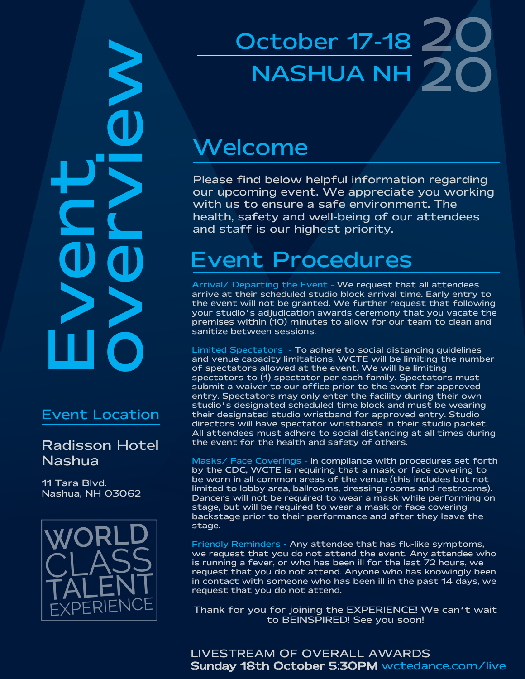EXPERIENCE<br>
Tara Bivd.<br>
Nadisson Hote<br>
Nadisson Hote<br>
Nadisson Hote<br>
CLASS<br>
CLASS  $\sum_{n}$ 

#### Event Location

#### Radisson Hotel Nashua

11 Tara Blvd. Nashua, NH 03062



# October 17-18 20 20 NASHUA NH

### Welcome

Please find below helpful information regarding our upcoming event. We appreciate you working with us to ensure a safe environment. The health, safety and well-being of our attendees and staff is our highest priority.

## Event Procedures

Arrival/ Departing the Event - We request that all attendees arrive at their scheduled studio block arrival time. Early entry to the event will not be granted. We further request that following your studio's adjudication awards ceremony that you vacate the premises within (10) minutes to allow for our team to clean and sanitize between sessions.

Limited Spectators - To adhere to social distancing guidelines and venue capacity limitations, WCTE will be limiting the number of spectators allowed at the event. We will be limiting spectators to (1) spectator per each family. Spectators must submit a waiver to our office prior to the event for approved entry. Spectators may only enter the facility during their own studio's designated scheduled time block and must be wearing their designated studio wristband for approved entry. Studio directors will have spectator wristbands in their studio packet. All attendees must adhere to social distancing at all times during the event for the health and safety of others.

Masks/ Face Coverings - In compliance with procedures set forth by the CDC, WCTE is requiring that a mask or face covering to be worn in all common areas of the venue (this includes but not limited to lobby area, ballrooms, dressing rooms and restrooms). Dancers will not be required to wear a mask while performing on stage, but will be required to wear a mask or face covering backstage prior to their performance and after they leave the stage.

Friendly Reminders - Any attendee that has flu-like symptoms, we request that you do not attend the event. Any attendee who is running a fever, or who has been ill for the last 72 hours, we request that you do not attend. Anyone who has knowingly been in contact with someone who has been ill in the past 14 days, we request that you do not attend.

Thank for you for joining the EXPERIENCE! We can't wait to BEINSPIRED! See you soon!

LIVESTREAM OF OVERALL AWARDS Sunday 18th October 5:30PM wctedance.com/live